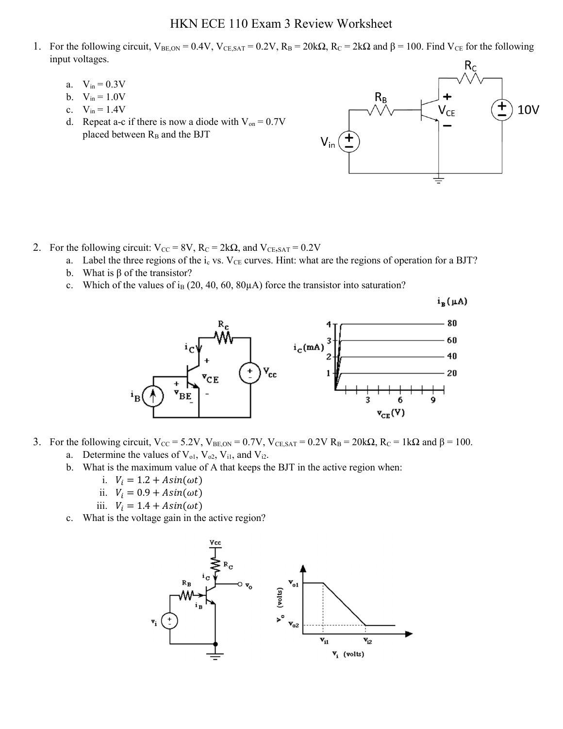## HKN ECE 110 Exam 3 Review Worksheet

- 1. For the following circuit,  $V_{BE,ON} = 0.4V$ ,  $V_{CE,SAT} = 0.2V$ ,  $R_B = 20k\Omega$ ,  $R_C = 2k\Omega$  and  $\beta = 100$ . Find  $V_{CE}$  for the following input voltages.
	- a.  $V_{in} = 0.3V$
	- b.  $V_{in} = 1.0V$
	- c.  $V_{in} = 1.4V$
	- d. Repeat a-c if there is now a diode with  $V_{on} = 0.7V$ placed between  $R_B$  and the BJT



- 2. For the following circuit:  $V_{CC} = 8V$ ,  $R_C = 2k\Omega$ , and  $V_{CE, SAT} = 0.2V$ 
	- a. Label the three regions of the  $i<sub>c</sub>$  vs. V<sub>CE</sub> curves. Hint: what are the regions of operation for a BJT?
	- b. What is  $\beta$  of the transistor?
	- c. Which of the values of i<sub>B</sub> (20, 40, 60, 80 $\mu$ A) force the transistor into saturation?

 $i_B(\mu A)$ 



- 3. For the following circuit,  $V_{CC} = 5.2V$ ,  $V_{BE,ON} = 0.7V$ ,  $V_{CE,SAT} = 0.2V$   $R_B = 20k\Omega$ ,  $R_C = 1k\Omega$  and  $\beta = 100$ . a. Determine the values of  $V_{ol}$ ,  $V_{o2}$ ,  $V_{i1}$ , and  $V_{i2}$ .
	- b. What is the maximum value of A that keeps the BJT in the active region when:
		- i.  $V_i = 1.2 + Asin(\omega t)$
		- ii.  $V_i = 0.9 + Asin(\omega t)$
		- iii.  $V_i = 1.4 + Asin(\omega t)$
	- c. What is the voltage gain in the active region?